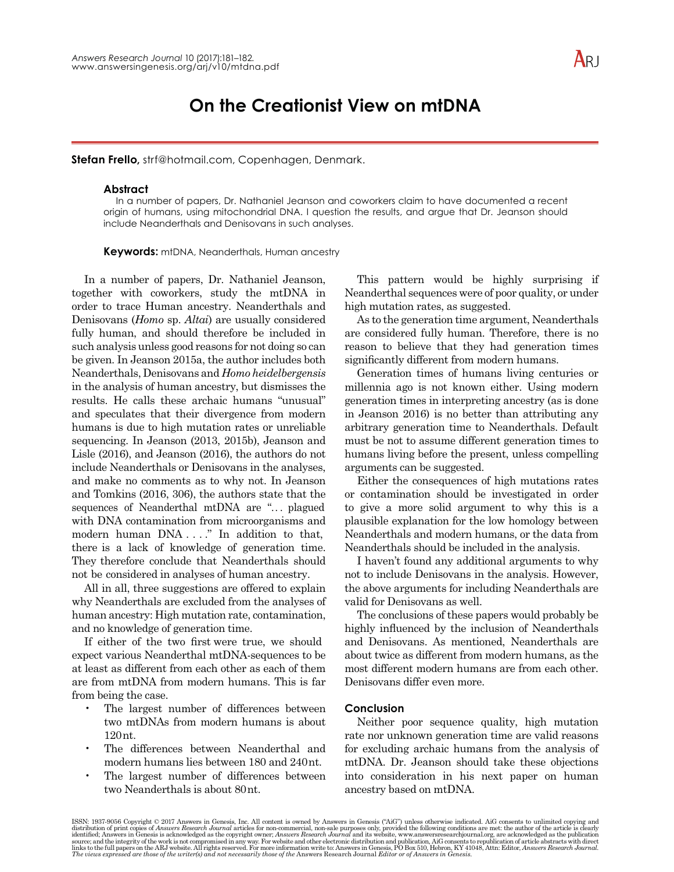# **On the Creationist View on mtDNA**

**Stefan Frello,** strf@hotmail.com, Copenhagen, Denmark.

#### **Abstract**

In a number of papers, Dr. Nathaniel Jeanson and coworkers claim to have documented a recent origin of humans, using mitochondrial DNA. I question the results, and argue that Dr. Jeanson should include Neanderthals and Denisovans in such analyses.

**Keywords:** mtDNA, Neanderthals, Human ancestry

In a number of papers, Dr. Nathaniel Jeanson, together with coworkers, study the mtDNA in order to trace Human ancestry. Neanderthals and Denisovans (*Homo* sp. *Altai*) are usually considered fully human, and should therefore be included in such analysis unless good reasons for not doing so can be given. In Jeanson 2015a, the author includes both Neanderthals, Denisovans and *Homo heidelbergensis* in the analysis of human ancestry, but dismisses the results. He calls these archaic humans "unusual" and speculates that their divergence from modern humans is due to high mutation rates or unreliable sequencing. In Jeanson (2013, 2015b), Jeanson and Lisle  $(2016)$ , and Jeanson  $(2016)$ , the authors do not include Neanderthals or Denisovans in the analyses, and make no comments as to why not. In Jeanson and Tomkins  $(2016, 306)$ , the authors state that the sequences of Neanderthal mtDNA are "... plagued with DNA contamination from microorganisms and modern human DNA . . . ." In addition to that, there is a lack of knowledge of generation time. They therefore conclude that Neanderthals should not be considered in analyses of human ancestry.

All in all, three suggestions are offered to explain why Neanderthals are excluded from the analyses of human ancestry: High mutation rate, contamination, and no knowledge of generation time.

If either of the two first were true, we should expect various Neanderthal mtDNA-sequences to be at least as different from each other as each of them are from mtDNA from modern humans. This is far from being the case.

- The largest number of differences between two mtDNAs from modern humans is about 120 nt.
- The differences between Neanderthal and modern humans lies between 180 and 240nt.
- The largest number of differences between two Neanderthals is about 80nt.

This pattern would be highly surprising if Neanderthal sequences were of poor quality, or under high mutation rates, as suggested.

As to the generation time argument, Neanderthals are considered fully human. Therefore, there is no reason to believe that they had generation times significantly different from modern humans.

Generation times of humans living centuries or millennia ago is not known either. Using modern generation times in interpreting ancestry (as is done in Jeanson  $2016$ ) is no better than attributing any arbitrary generation time to Neanderthals. Default must be not to assume different generation times to humans living before the present, unless compelling arguments can be suggested.

Either the consequences of high mutations rates or contamination should be investigated in order to give a more solid argument to why this is a plausible explanation for the low homology between Neanderthals and modern humans, or the data from Neanderthals should be included in the analysis.

I haven't found any additional arguments to why not to include Denisovans in the analysis. However, the above arguments for including Neanderthals are valid for Denisovans as well.

The conclusions of these papers would probably be highly influenced by the inclusion of Neanderthals and Denisovans. As mentioned, Neanderthals are about twice as different from modern humans, as the most different modern humans are from each other. Denisovans differ even more.

#### **Conclusion**

Neither poor sequence quality, high mutation rate nor unknown generation time are valid reasons for excluding archaic humans from the analysis of mtDNA. Dr. Jeanson should take these objections into consideration in his next paper on human ancestry based on mtDNA.

ISSN: 1937-9056 Copyright © 2017 Answers in Genesis, Inc. All content is owned by Answers in Genesis ("AiG") unless otherwise indicated. AiG consents to unlimited copying and distribution of print copies of Answers Resear